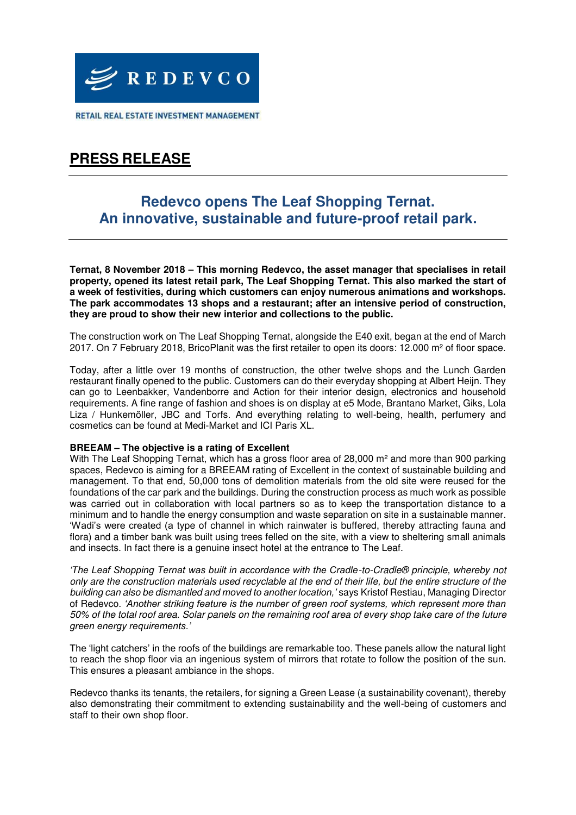

RETAIL REAL ESTATE INVESTMENT MANAGEMENT

# **PRESS RELEASE**

# **Redevco opens The Leaf Shopping Ternat. An innovative, sustainable and future-proof retail park.**

**Ternat, 8 November 2018 – This morning Redevco, the asset manager that specialises in retail property, opened its latest retail park, The Leaf Shopping Ternat. This also marked the start of a week of festivities, during which customers can enjoy numerous animations and workshops. The park accommodates 13 shops and a restaurant; after an intensive period of construction, they are proud to show their new interior and collections to the public.**

The construction work on The Leaf Shopping Ternat, alongside the E40 exit, began at the end of March 2017. On 7 February 2018, BricoPlanit was the first retailer to open its doors: 12.000 m² of floor space.

Today, after a little over 19 months of construction, the other twelve shops and the Lunch Garden restaurant finally opened to the public. Customers can do their everyday shopping at Albert Heijn. They can go to Leenbakker, Vandenborre and Action for their interior design, electronics and household requirements. A fine range of fashion and shoes is on display at e5 Mode, Brantano Market, Giks, Lola Liza / Hunkemöller, JBC and Torfs. And everything relating to well-being, health, perfumery and cosmetics can be found at Medi-Market and ICI Paris XL.

## **BREEAM – The objective is a rating of Excellent**

With The Leaf Shopping Ternat, which has a gross floor area of 28,000 m<sup>2</sup> and more than 900 parking spaces, Redevco is aiming for a BREEAM rating of Excellent in the context of sustainable building and management. To that end, 50,000 tons of demolition materials from the old site were reused for the foundations of the car park and the buildings. During the construction process as much work as possible was carried out in collaboration with local partners so as to keep the transportation distance to a minimum and to handle the energy consumption and waste separation on site in a sustainable manner. 'Wadi's were created (a type of channel in which rainwater is buffered, thereby attracting fauna and flora) and a timber bank was built using trees felled on the site, with a view to sheltering small animals and insects. In fact there is a genuine insect hotel at the entrance to The Leaf.

*'The Leaf Shopping Ternat was built in accordance with the Cradle*-to-Cradle® principle, whereby not only are the construction materials used recyclable at the end of their life, but the entire structure of the building can also be dismantled an*d moved to another location,'* says Kristof Restiau, Managing Director of Redevco. *'Another striking feature is the number of green roof systems, which represent more than*  50% of the total roof area. Solar panels on the remaining roof area of every shop take care of the future *green energy requirements.'*

The 'light catchers' in the roofs of the buildings are remarkable too. These panels allow the natural light to reach the shop floor via an ingenious system of mirrors that rotate to follow the position of the sun. This ensures a pleasant ambiance in the shops.

Redevco thanks its tenants, the retailers, for signing a Green Lease (a sustainability covenant), thereby also demonstrating their commitment to extending sustainability and the well-being of customers and staff to their own shop floor.